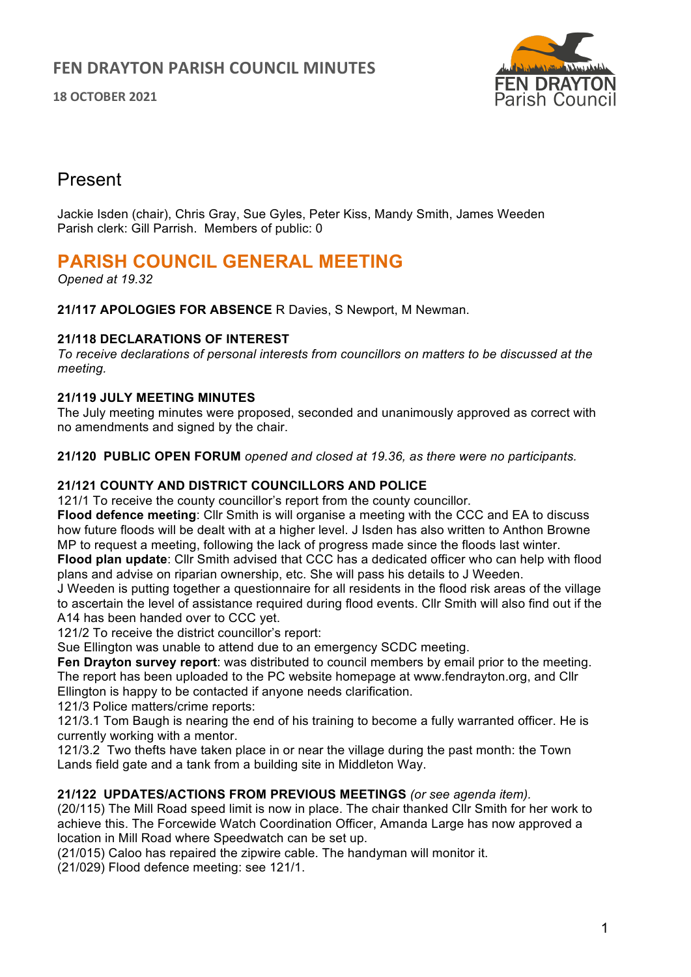**18 OCTOBER 2021**



# Present

Jackie Isden (chair), Chris Gray, Sue Gyles, Peter Kiss, Mandy Smith, James Weeden Parish clerk: Gill Parrish. Members of public: 0

# **PARISH COUNCIL GENERAL MEETING**

*Opened at 19.32*

**21/117 APOLOGIES FOR ABSENCE** R Davies, S Newport, M Newman.

## **21/118 DECLARATIONS OF INTEREST**

*To receive declarations of personal interests from councillors on matters to be discussed at the meeting.* 

## **21/119 JULY MEETING MINUTES**

The July meeting minutes were proposed, seconded and unanimously approved as correct with no amendments and signed by the chair.

**21/120 PUBLIC OPEN FORUM** *opened and closed at 19.36, as there were no participants.*

## **21/121 COUNTY AND DISTRICT COUNCILLORS AND POLICE**

121/1 To receive the county councillor's report from the county councillor.

**Flood defence meeting**: Cllr Smith is will organise a meeting with the CCC and EA to discuss how future floods will be dealt with at a higher level. J Isden has also written to Anthon Browne MP to request a meeting, following the lack of progress made since the floods last winter.

**Flood plan update**: Cllr Smith advised that CCC has a dedicated officer who can help with flood plans and advise on riparian ownership, etc. She will pass his details to J Weeden.

J Weeden is putting together a questionnaire for all residents in the flood risk areas of the village to ascertain the level of assistance required during flood events. Cllr Smith will also find out if the A14 has been handed over to CCC yet.

121/2 To receive the district councillor's report:

Sue Ellington was unable to attend due to an emergency SCDC meeting.

**Fen Drayton survey report**: was distributed to council members by email prior to the meeting. The report has been uploaded to the PC website homepage at www.fendrayton.org, and Cllr Ellington is happy to be contacted if anyone needs clarification.

121/3 Police matters/crime reports:

121/3.1 Tom Baugh is nearing the end of his training to become a fully warranted officer. He is currently working with a mentor.

121/3.2 Two thefts have taken place in or near the village during the past month: the Town Lands field gate and a tank from a building site in Middleton Way.

#### **21/122 UPDATES/ACTIONS FROM PREVIOUS MEETINGS** *(or see agenda item).*

(20/115) The Mill Road speed limit is now in place. The chair thanked Cllr Smith for her work to achieve this. The Forcewide Watch Coordination Officer, Amanda Large has now approved a location in Mill Road where Speedwatch can be set up.

(21/015) Caloo has repaired the zipwire cable. The handyman will monitor it.

(21/029) Flood defence meeting: see 121/1.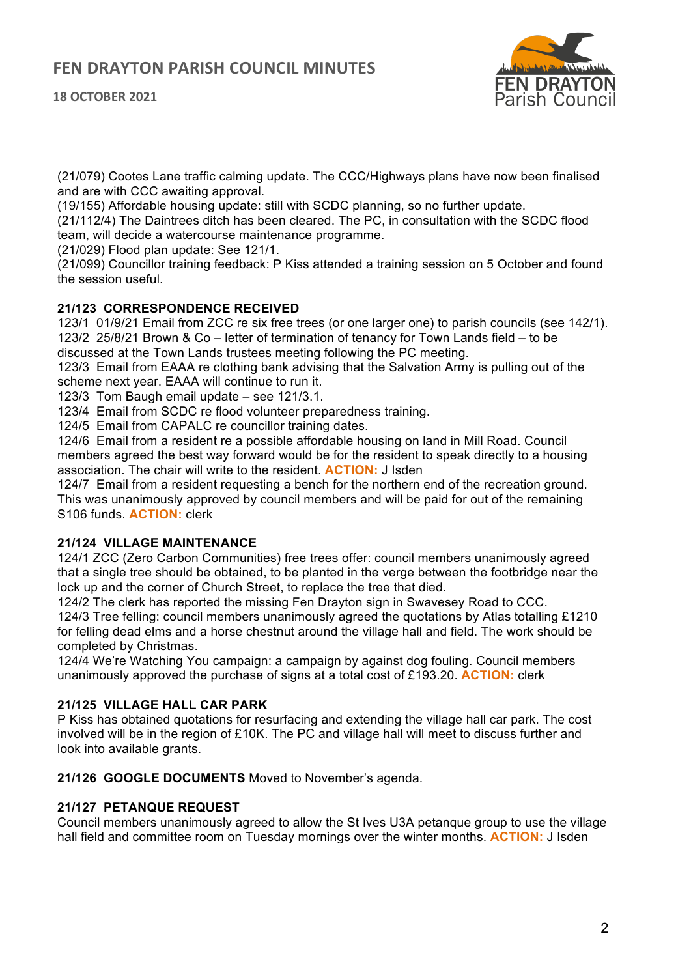

(21/079) Cootes Lane traffic calming update. The CCC/Highways plans have now been finalised and are with CCC awaiting approval.

(19/155) Affordable housing update: still with SCDC planning, so no further update.

(21/112/4) The Daintrees ditch has been cleared. The PC, in consultation with the SCDC flood team, will decide a watercourse maintenance programme.

(21/029) Flood plan update: See 121/1.

(21/099) Councillor training feedback: P Kiss attended a training session on 5 October and found the session useful.

#### **21/123 CORRESPONDENCE RECEIVED**

123/1 01/9/21 Email from ZCC re six free trees (or one larger one) to parish councils (see 142/1). 123/2 25/8/21 Brown & Co – letter of termination of tenancy for Town Lands field – to be discussed at the Town Lands trustees meeting following the PC meeting.

123/3 Email from EAAA re clothing bank advising that the Salvation Army is pulling out of the scheme next year. EAAA will continue to run it.

123/3 Tom Baugh email update – see 121/3.1.

123/4 Email from SCDC re flood volunteer preparedness training.

124/5 Email from CAPALC re councillor training dates.

124/6 Email from a resident re a possible affordable housing on land in Mill Road. Council members agreed the best way forward would be for the resident to speak directly to a housing association. The chair will write to the resident. **ACTION:** J Isden

124/7 Email from a resident requesting a bench for the northern end of the recreation ground. This was unanimously approved by council members and will be paid for out of the remaining S106 funds. **ACTION:** clerk

#### **21/124 VILLAGE MAINTENANCE**

124/1 ZCC (Zero Carbon Communities) free trees offer: council members unanimously agreed that a single tree should be obtained, to be planted in the verge between the footbridge near the lock up and the corner of Church Street, to replace the tree that died.

124/2 The clerk has reported the missing Fen Drayton sign in Swavesey Road to CCC.

124/3 Tree felling: council members unanimously agreed the quotations by Atlas totalling £1210 for felling dead elms and a horse chestnut around the village hall and field. The work should be completed by Christmas.

124/4 We're Watching You campaign: a campaign by against dog fouling. Council members unanimously approved the purchase of signs at a total cost of £193.20. **ACTION:** clerk

#### **21/125 VILLAGE HALL CAR PARK**

P Kiss has obtained quotations for resurfacing and extending the village hall car park. The cost involved will be in the region of £10K. The PC and village hall will meet to discuss further and look into available grants.

**21/126 GOOGLE DOCUMENTS** Moved to November's agenda.

#### **21/127 PETANQUE REQUEST**

Council members unanimously agreed to allow the St Ives U3A petanque group to use the village hall field and committee room on Tuesday mornings over the winter months. **ACTION:** J Isden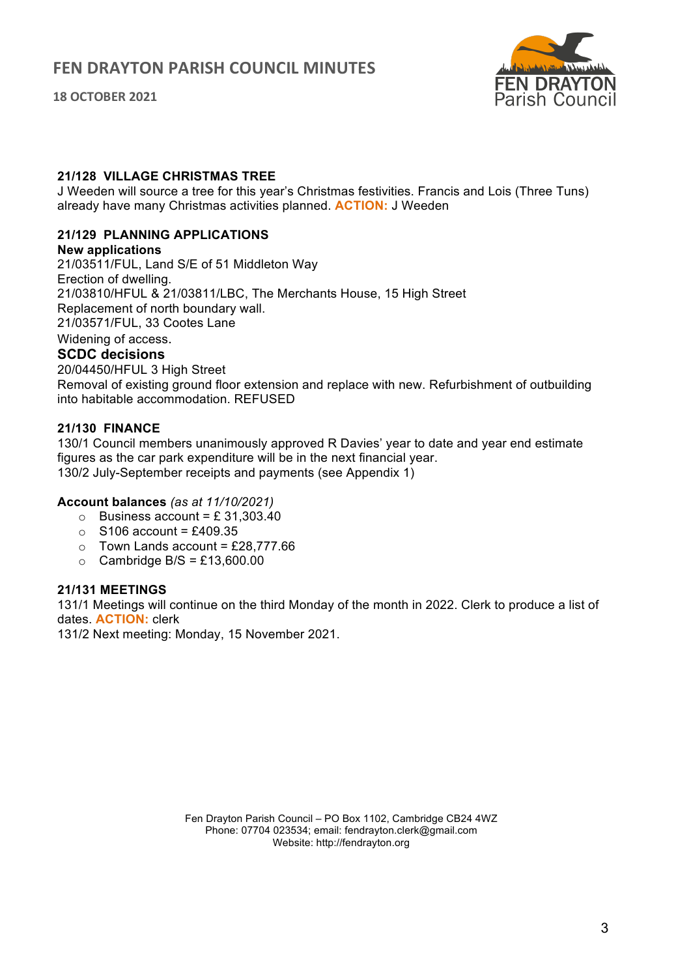**18 OCTOBER 2021**



#### **21/128 VILLAGE CHRISTMAS TREE**

J Weeden will source a tree for this year's Christmas festivities. Francis and Lois (Three Tuns) already have many Christmas activities planned. **ACTION:** J Weeden

#### **21/129 PLANNING APPLICATIONS**

#### **New applications**

21/03511/FUL, Land S/E of 51 Middleton Way Erection of dwelling. 21/03810/HFUL & 21/03811/LBC, The Merchants House, 15 High Street Replacement of north boundary wall. 21/03571/FUL, 33 Cootes Lane Widening of access.

## **SCDC decisions**

20/04450/HFUL 3 High Street Removal of existing ground floor extension and replace with new. Refurbishment of outbuilding into habitable accommodation. REFUSED

#### **21/130 FINANCE**

130/1 Council members unanimously approved R Davies' year to date and year end estimate figures as the car park expenditure will be in the next financial year. 130/2 July-September receipts and payments (see Appendix 1)

#### **Account balances** *(as at 11/10/2021)*

- $\circ$  Business account = £ 31,303,40
- $\circ$  S106 account = £409.35
- $\circ$  Town Lands account = £28,777.66
- $\circ$  Cambridge B/S = £13,600.00

#### **21/131 MEETINGS**

131/1 Meetings will continue on the third Monday of the month in 2022. Clerk to produce a list of dates. **ACTION:** clerk

131/2 Next meeting: Monday, 15 November 2021.

Fen Drayton Parish Council – PO Box 1102, Cambridge CB24 4WZ Phone: 07704 023534; email: fendrayton.clerk@gmail.com Website: http://fendrayton.org